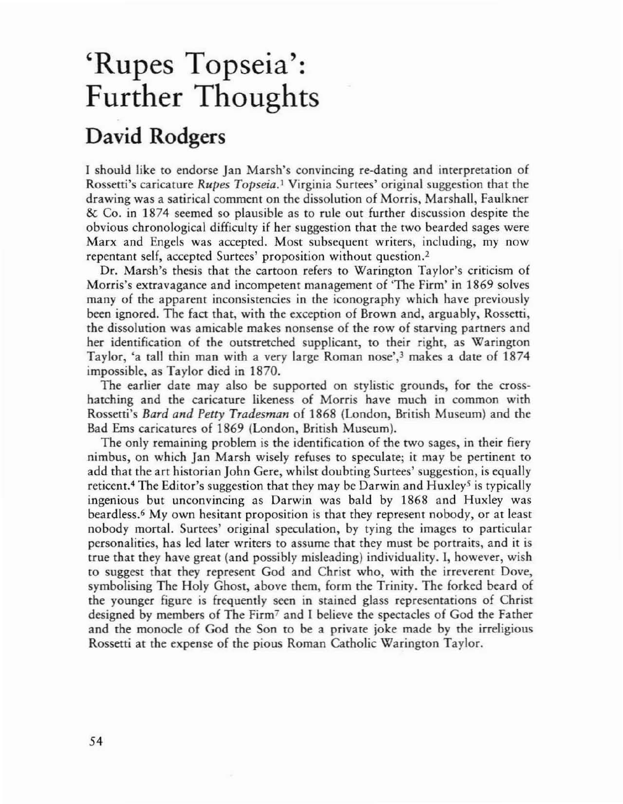## 'Rupes Topseia': Further Thoughts

## David Rodgers

I should like to endorse Jan Marsh's convincing re-dating and interpretation of Rossetti's caricature *Rupes Topseia*.<sup>1</sup> Virginia Surtees' original suggestion that the drawing was a satirical comment on the dissolution of Morris, Marshall, Faulkner & Co. in 1874 seemed so plausible as to rule out further discussion despite the obvious chronological difficulty if her suggestion that the two bearded sages were Marx and Engels was accepted. Most subsequent writers, including, my now repentant self, accepted Surtees' proposition without question. <sup>2</sup>

Dr. Marsh's thesis that the cartoon refers to Warington Taylor's criticism of Morris's extravagance and incompetent management of 'The Firm' in 1869 solves many of the apparent inconsistencies in the iconography which have previously been ignored. The fact that, with the exception of Brown and, arguably, Rossetti, the dissolution was amicable makes nonsense of the row of starving partners and her identification of the outstretched supplicant, to their right, as Waringron Taylor, 'a tall thin man with a very large Roman nose',<sup>3</sup> makes a date of 1874 impossible, as Taylor died in 1870.

The earlier date may also be supported on stylistic grounds, for the crosshatching and the caricature likeness of Morris have much in common with Rossetti's *Bard and Petty Tradesman* of 1868 (London, British Museum) and the Bad Ems caricatures of 1869 (London, British Museum).

The only remaining problem is the identification of the two sages, in their fiery nimbus, on which Jan Marsh wisely refuses to speculate; it may be pertinent to add that the art historian John Gere, whilst doubting Surtees' suggestion, is equally reticent.<sup>4</sup> The Editor's suggestion that they may be Darwin and Huxley<sup>5</sup> is typically ingenious but unconvincing as Darwin was bald by 1868 and Huxley was beardless. <sup>6</sup> My own hesitant proposition is that they represent nobody, or at least nobody mortal. Surtees' original speculation, by tying the images to particular personalities, has led later writers to assume that they must be portraits, and it is true that they have great (and possibly misleading) individuality. I, however, wish to suggest that they represent God and Christ who, with the irreverent Dove, symbolising The Holy Ghost, above them, form the Trinity. The forked beard of the younger figure is frequently seen in stained glass representations of Christ designed by members of The Firm' and I believe the spectacles of God the Father and the monocle of God the Son to he a private joke made by the irreligious Rossetti at the expense of the pious Roman Catholic Waringron Taylor.